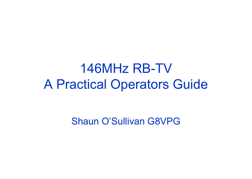## 146MHz RB-TV A Practical Operators Guide

Shaun O'Sullivan G8VPG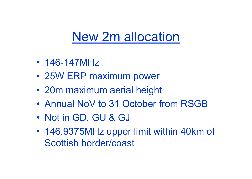## New 2m allocation

- 146-147MHz
- 25W ERP maximum power
- 20m maximum aerial height
- Annual NoV to 31 October from RSGB
- Not in GD, GU & GJ
- 146.9375MHz upper limit within 40km of Scottish border/coast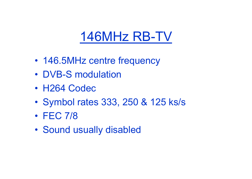# 146MHz RB-TV

- 146.5MHz centre frequency
- DVB-S modulation
- H264 Codec
- Symbol rates 333, 250 & 125 ks/s
- FEC 7/8
- Sound usually disabled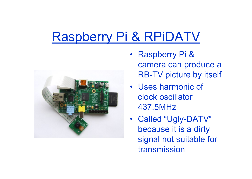# Raspberry Pi & RPiDATV



- Raspberry Pi & camera can produce a RB-TV picture by itself
- Uses harmonic of clock oscillator 437.5MHz
- Called "Ugly-DATV" because it is a dirty signal not suitable for transmission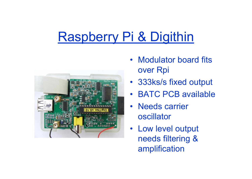# Raspberry Pi & Digithin



- Modulator board fits over Rpi
- 333ks/s fixed output
- BATC PCB available
- Needs carrier oscillator
- Low level output needs filtering & amplification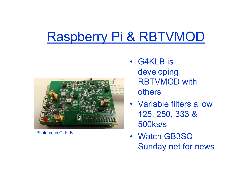# Raspberry Pi & RBTVMOD



Photograph G4KLB

- G4KLB is developing RBTVMOD with others
- Variable filters allow 125, 250, 333 & 500ks/s
- Watch GB3SQ Sunday net for news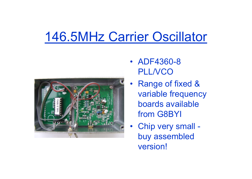## 146.5MHz Carrier Oscillator



- ADF4360-8 **PLL/VCO**
- Range of fixed & variable frequency boards available from G8BYI
- Chip very small buy assembled version!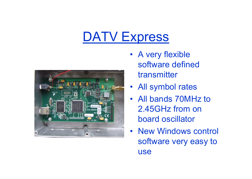## DATV Express



- A very flexible software defined transmitter
- All symbol rates
- All bands 70MHz to 2.45GHz from on board oscillator
- New Windows control software very easy to use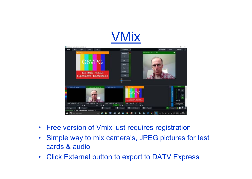



- Free version of Vmix just requires registration
- Simple way to mix camera's, JPEG pictures for test cards & audio
- Click External button to export to DATV Express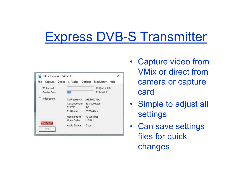## Express DVB-S Transmitter

| DATV-Express - 146sr333                            |               |            |              | X |
|----------------------------------------------------|---------------|------------|--------------|---|
| File Capture Codec SITables Options Modulator Help |               |            |              |   |
| TS Record                                          |               |            | Tx Queue 0%  |   |
| Carrier Only                                       |               |            | Tx Level 7   |   |
| Video Ident                                        | Tx Frequency  |            | 146,5000 MHz |   |
|                                                    | Tx Symbolrate |            | 333.000 KSps |   |
|                                                    | Tx FEC        | 7/8        |              |   |
|                                                    | Tx Bitrate    | 537044 bps |              |   |
|                                                    | Video Bitrate | 431965 bps |              |   |
|                                                    | Video Codec   | H.264      |              |   |
| <b>TRANSMIT</b><br>PTT                             | Audio Bitrate | 0 bps      |              |   |
|                                                    |               |            |              |   |

- Capture video from VMix or direct from camera or capture card
- Simple to adjust all settings
- Can save settings files for quick changes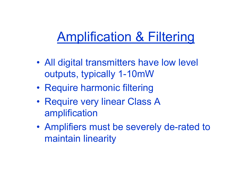# Amplification & Filtering

- All digital transmitters have low level outputs, typically 1-10mW
- Require harmonic filtering
- Require very linear Class A amplification
- Amplifiers must be severely de-rated to maintain linearity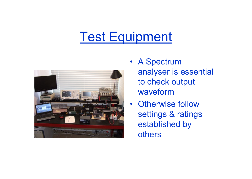## Test Equipment



- A Spectrum analyser is essential to check output waveform
- Otherwise follow settings & ratings established by others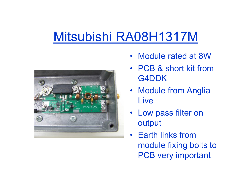## Mitsubishi RA08H1317M



- Module rated at 8W
- PCB & short kit from G4DDK
- Module from Anglia **Live**
- Low pass filter on output
- Earth links from module fixing bolts to PCB very important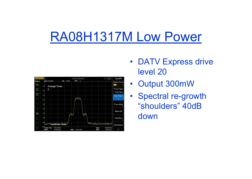## RA08H1317M Low Power



- DATV Express drive level 20
- Output 300mW
- Spectral re-growth "shoulders" 40dB down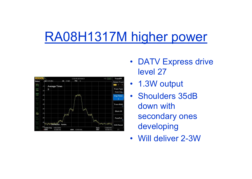## RA08H1317M higher power



- DATV Express drive level 27
- 1.3W output
- Shoulders 35dB down with secondary ones developing
- Will deliver 2-3W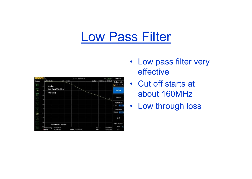#### Low Pass Filter

| <b>RIGOL</b>                    |                 |                               |                          |                       |           |     | 18:41:15 2016-03-30 |      |                              | $-4$ [Lecal]              | Marker                                   |
|---------------------------------|-----------------|-------------------------------|--------------------------|-----------------------|-----------|-----|---------------------|------|------------------------------|---------------------------|------------------------------------------|
| Status<br>$\frac{1}{2}$<br>TRIS | $-10$           | <b>Bef 0.00 UBm</b><br>Marker |                          | 146.666666 MHz        | Att 10:08 |     |                     |      | Marker1 146.66 MHz - 0.06 dB |                           | Select Mkr<br>þ<br>$\overline{z}$<br>B   |
| Free                            | $-20$           | $-0.06$ dB                    |                          |                       |           |     |                     |      |                              |                           | Normal                                   |
| डाका<br>देवले<br>ĝ.             | $-30$<br>$-40$  |                               |                          |                       |           |     |                     |      |                              | Z                         | Delta                                    |
| ö                               | -50             |                               |                          |                       |           |     |                     |      |                              |                           | Delta Pair<br><b>Ref</b><br><b>Dilla</b> |
| ğ.                              | $-80$           |                               |                          |                       |           |     |                     |      |                              |                           | Span Pair                                |
| 瘤                               | -20             |                               |                          |                       |           |     |                     |      |                              |                           | Span<br>Centre                           |
| ŵ                               | $-80$           |                               |                          |                       |           |     |                     |      |                              |                           | Off                                      |
| ŵ                               | $-80$           |                               |                          | LiserKey Set: System, |           |     |                     |      |                              |                           | Mkr Trace                                |
| ŵ                               | $-100$<br>- RBW | <b>Center Free</b>            | 200.00 MHz<br>30,000 kHz |                       |           | VEW | 30,000 kHz          | SWIT | Span                         | 200.00 MHz<br>$222.22$ ms | <b>Auto</b><br>1/2                       |

- Low pass filter very effective
- Cut off starts at about 160MHz
- Low through loss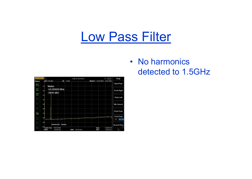#### Low Pass Filter

| Peak             | <b>ACT LEED</b>         |                                | 1206372016-09-31  |              |                          | <b>IGOL</b>                 |
|------------------|-------------------------|--------------------------------|-------------------|--------------|--------------------------|-----------------------------|
| Next Peak        |                         | Marker1 145.00 letz -28.64 dBm |                   | 10:09<br>Alt |                          | ∩ Baaf 0.00 utBm            |
| Peak Right       |                         |                                |                   |              | 145.000000 MHz           | Marker<br>$-10$<br>-20      |
| Peak Left        |                         |                                |                   |              | $-28.64$ dBm             | -30                         |
|                  |                         |                                |                   |              |                          | $-40$<br>-SC                |
| Min Search       |                         |                                |                   |              |                          | $-60$                       |
| Peak Peak        |                         |                                |                   |              |                          | -20                         |
| Cont Peak<br>On- |                         |                                |                   |              |                          | $-800$                      |
| Search Para      |                         |                                |                   | System,      | <b>UserKey Set:</b>      | $-80$<br>$-100$             |
| 1/2              | 1 5000 0Hz<br>150.00 ms | Span<br>SWIT                   | 100,00 kHz<br>VEW |              | 750.00 MHz<br>100.00 MHz | <b>Conter Free</b><br>- RBW |

• No harmonics detected to 1.5GHz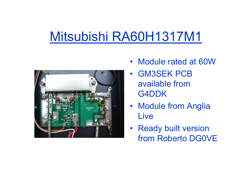# Mitsubishi RA60H1317M1



- Module rated at 60W
- GM3SEK PCB available from G4DDK
- Module from Anglia Live
- Ready built version from Roberto DG0VE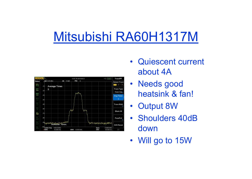## Mitsubishi RA60H1317M



- Quiescent current about 4A
- Needs good heatsink & fan!
- Output 8W
- Shoulders 40dB down
- Will go to 15W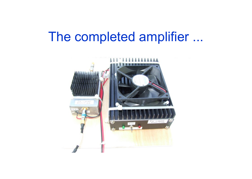#### The completed amplifier ...

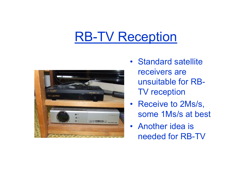### RB-TV Reception



- Standard satellite receivers are unsuitable for RB-TV reception
- Receive to 2Ms/s, some 1Ms/s at best
- Another idea is needed for RB-TV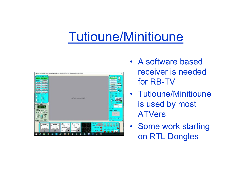## Tutioune/Minitioune



- A software based receiver is needed for RB-TV
- Tutioune/Minitioune is used by most ATVers
- Some work starting on RTL Dongles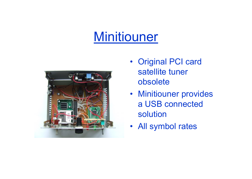## Minitiouner



- Original PCI card satellite tuner obsolete
- Minitiouner provides a USB connected solution
- All symbol rates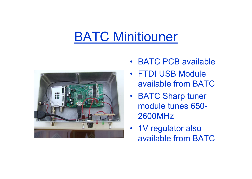## BATC Minitiouner



- BATC PCB available
- FTDI USB Module available from BATC
- BATC Sharp tuner module tunes 650- 2600MHz
- 1V regulator also available from BATC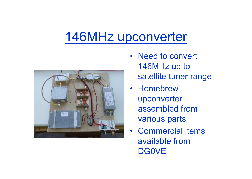## 146MHz upconverter



- Need to convert 146MHz up to satellite tuner range
- Homebrew upconverter assembled from various parts
- Commercial items available from **DG0VE**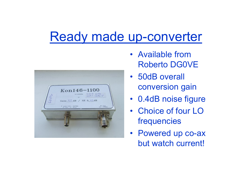#### Ready made up-converter



- Available from Roberto DG0VE
- 50dB overall conversion gain
- 0.4dB noise figure
- Choice of four LO frequencies
- Powered up co-ax but watch current!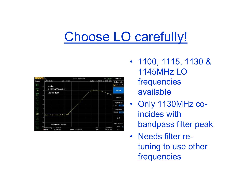# Choose LO carefully!



- 1100, 1115, 1130 & 1145MHz LO frequencies available
- Only 1130MHz coincides with bandpass filter peak
- Needs filter retuning to use other frequencies